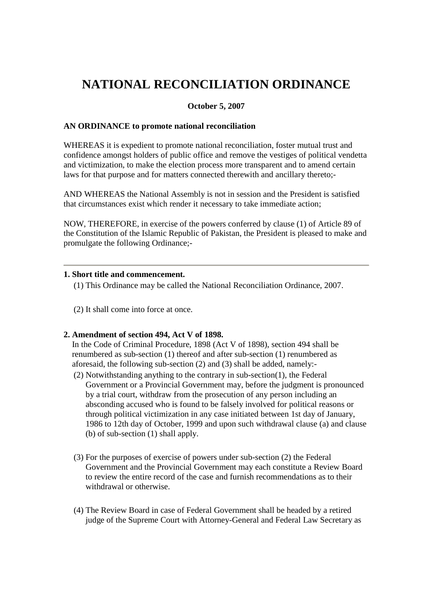# **NATIONAL RECONCILIATION ORDINANCE**

# **October 5, 2007**

## **AN ORDINANCE to promote national reconciliation**

WHEREAS it is expedient to promote national reconciliation, foster mutual trust and confidence amongst holders of public office and remove the vestiges of political vendetta and victimization, to make the election process more transparent and to amend certain laws for that purpose and for matters connected therewith and ancillary thereto;-

AND WHEREAS the National Assembly is not in session and the President is satisfied that circumstances exist which render it necessary to take immediate action;

NOW, THEREFORE, in exercise of the powers conferred by clause (1) of Article 89 of the Constitution of the Islamic Republic of Pakistan, the President is pleased to make and promulgate the following Ordinance;-

## **1. Short title and commencement.**

- (1) This Ordinance may be called the National Reconciliation Ordinance, 2007.
- (2) It shall come into force at once.

# **2. Amendment of section 494, Act V of 1898.**

In the Code of Criminal Procedure, 1898 (Act V of 1898), section 494 shall be renumbered as sub-section (1) thereof and after sub-section (1) renumbered as aforesaid, the following sub-section (2) and (3) shall be added, namely:-

- (2) Notwithstanding anything to the contrary in sub-section(1), the Federal Government or a Provincial Government may, before the judgment is pronounced by a trial court, withdraw from the prosecution of any person including an absconding accused who is found to be falsely involved for political reasons or through political victimization in any case initiated between 1st day of January, 1986 to 12th day of October, 1999 and upon such withdrawal clause (a) and clause (b) of sub-section (1) shall apply.
- (3) For the purposes of exercise of powers under sub-section (2) the Federal Government and the Provincial Government may each constitute a Review Board to review the entire record of the case and furnish recommendations as to their withdrawal or otherwise.
- (4) The Review Board in case of Federal Government shall be headed by a retired judge of the Supreme Court with Attorney-General and Federal Law Secretary as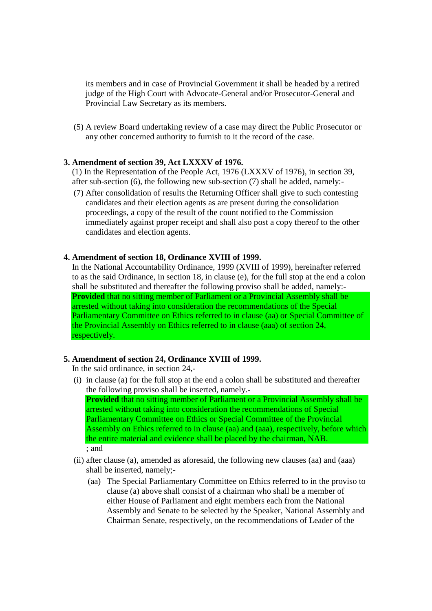its members and in case of Provincial Government it shall be headed by a retired judge of the High Court with Advocate-General and/or Prosecutor-General and Provincial Law Secretary as its members.

(5) A review Board undertaking review of a case may direct the Public Prosecutor or any other concerned authority to furnish to it the record of the case.

#### **3. Amendment of section 39, Act LXXXV of 1976.**

(1) In the Representation of the People Act, 1976 (LXXXV of 1976), in section 39, after sub-section (6), the following new sub-section (7) shall be added, namely:-

(7) After consolidation of results the Returning Officer shall give to such contesting candidates and their election agents as are present during the consolidation proceedings, a copy of the result of the count notified to the Commission immediately against proper receipt and shall also post a copy thereof to the other candidates and election agents.

#### **4. Amendment of section 18, Ordinance XVIII of 1999.**

In the National Accountability Ordinance, 1999 (XVIII of 1999), hereinafter referred to as the said Ordinance, in section 18, in clause (e), for the full stop at the end a colon shall be substituted and thereafter the following proviso shall be added, namely:- **Provided** that no sitting member of Parliament or a Provincial Assembly shall be arrested without taking into consideration the recommendations of the Special Parliamentary Committee on Ethics referred to in clause (aa) or Special Committee of the Provincial Assembly on Ethics referred to in clause (aaa) of section 24, respectively.

#### **5. Amendment of section 24, Ordinance XVIII of 1999.**

In the said ordinance, in section 24,-

- (i) in clause (a) for the full stop at the end a colon shall be substituted and thereafter the following proviso shall be inserted, namely.- **Provided** that no sitting member of Parliament or a Provincial Assembly shall be arrested without taking into consideration the recommendations of Special Parliamentary Committee on Ethics or Special Committee of the Provincial Assembly on Ethics referred to in clause (aa) and (aaa), respectively, before which the entire material and evidence shall be placed by the chairman, NAB. ; and
- (ii) after clause (a), amended as aforesaid, the following new clauses (aa) and (aaa) shall be inserted, namely;-
	- (aa) The Special Parliamentary Committee on Ethics referred to in the proviso to clause (a) above shall consist of a chairman who shall be a member of either House of Parliament and eight members each from the National Assembly and Senate to be selected by the Speaker, National Assembly and Chairman Senate, respectively, on the recommendations of Leader of the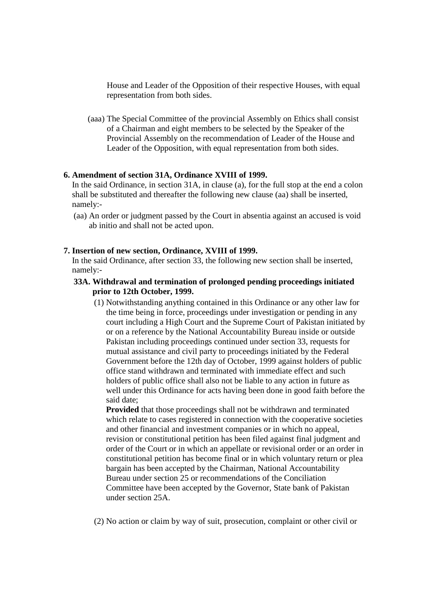House and Leader of the Opposition of their respective Houses, with equal representation from both sides.

(aaa) The Special Committee of the provincial Assembly on Ethics shall consist of a Chairman and eight members to be selected by the Speaker of the Provincial Assembly on the recommendation of Leader of the House and Leader of the Opposition, with equal representation from both sides.

## **6. Amendment of section 31A, Ordinance XVIII of 1999.**

In the said Ordinance, in section 31A, in clause (a), for the full stop at the end a colon shall be substituted and thereafter the following new clause (aa) shall be inserted, namely:-

(aa) An order or judgment passed by the Court in absentia against an accused is void ab initio and shall not be acted upon.

## **7. Insertion of new section, Ordinance, XVIII of 1999.**

In the said Ordinance, after section 33, the following new section shall be inserted, namely:-

# **33A. Withdrawal and termination of prolonged pending proceedings initiated prior to 12th October, 1999.**

(1) Notwithstanding anything contained in this Ordinance or any other law for the time being in force, proceedings under investigation or pending in any court including a High Court and the Supreme Court of Pakistan initiated by or on a reference by the National Accountability Bureau inside or outside Pakistan including proceedings continued under section 33, requests for mutual assistance and civil party to proceedings initiated by the Federal Government before the 12th day of October, 1999 against holders of public office stand withdrawn and terminated with immediate effect and such holders of public office shall also not be liable to any action in future as well under this Ordinance for acts having been done in good faith before the said date;

**Provided** that those proceedings shall not be withdrawn and terminated which relate to cases registered in connection with the cooperative societies and other financial and investment companies or in which no appeal, revision or constitutional petition has been filed against final judgment and order of the Court or in which an appellate or revisional order or an order in constitutional petition has become final or in which voluntary return or plea bargain has been accepted by the Chairman, National Accountability Bureau under section 25 or recommendations of the Conciliation Committee have been accepted by the Governor, State bank of Pakistan under section 25A.

(2) No action or claim by way of suit, prosecution, complaint or other civil or